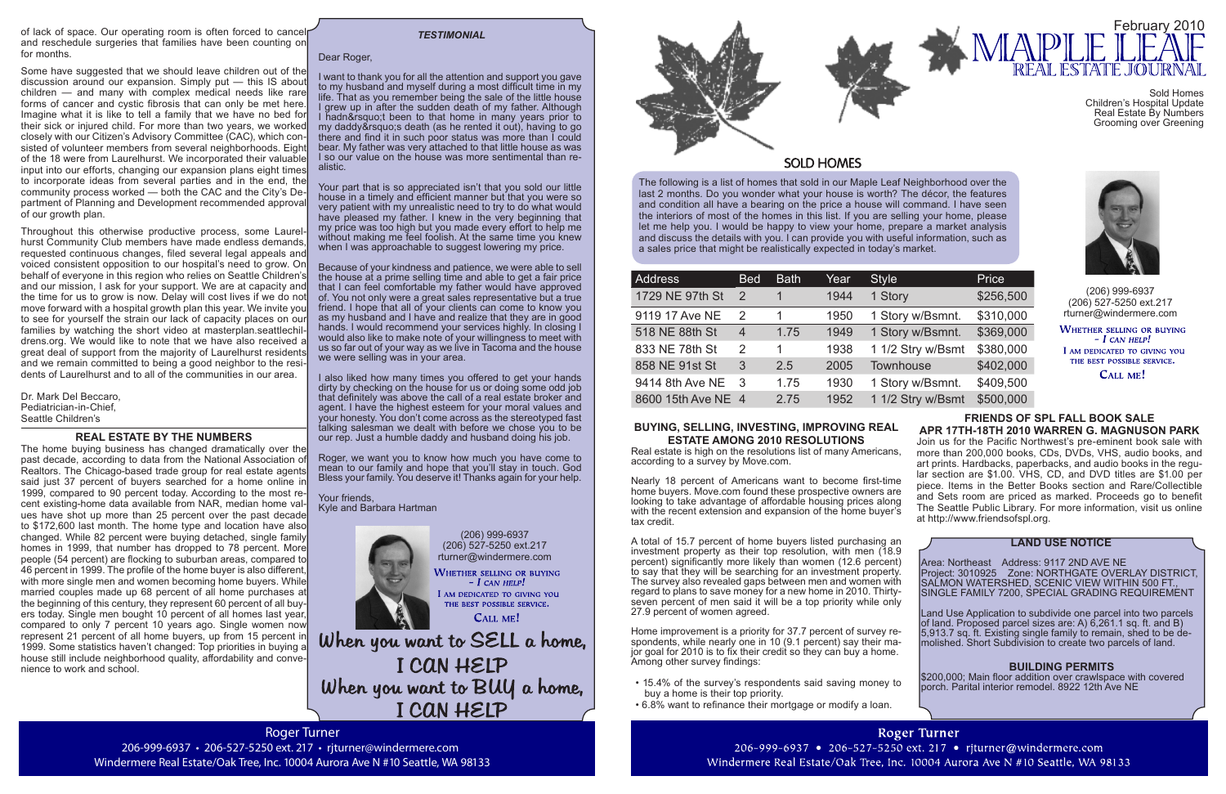Roger Turner 206-999-6937 • 206-527-5250 ext. 217 • rjturner@windermere.com Windermere Real Estate/Oak Tree, Inc. 10004 Aurora Ave N #10 Seattle, WA 98133



The following is a list of homes that sold in our Maple Leaf Neighborhood over the last 2 months. Do you wonder what your house is worth? The décor, the features and condition all have a bearing on the price a house will command. I have seen the interiors of most of the homes in this list. If you are selling your home, please let me help you. I would be happy to view your home, prepare a market analysis and discuss the details with you. I can provide you with useful information, such as a sales price that might be realistically expected in today's market.

(206) 999-6937 (206) 527-5250 ext.217

 $-$  I can help!

THE BEST POSSIBLE SERVICE. CALL ME!



When you want to SELL a home, I CAN HELP When you want to BUY a home, I CAN HELP

Your part that is so appreciated isn't that you sold our little house in a timely and efficient manner but that you were so very patient with my unrealistic need to try to do what would have pleased my father. I knew in the very beginning that my price was too high but you made every effort to help me without making me feel foolish. At the same time you knew when I was approachable to suggest lowering my price.

| <b>Address</b>     | <b>Bed</b>    | <b>Bath</b> | Year | <b>Style</b>      | <b>Price</b> |
|--------------------|---------------|-------------|------|-------------------|--------------|
| 1729 NE 97th St    | $\mathcal{P}$ | 1           | 1944 | 1 Story           | \$256,500    |
| 9119 17 Ave NE     | $\mathcal{P}$ | 1           | 1950 | 1 Story w/Bsmnt.  | \$310,000    |
| 518 NE 88th St     | 4             | 1.75        | 1949 | 1 Story w/Bsmnt.  | \$369,000    |
| 833 NE 78th St     | 2             | 1           | 1938 | 1 1/2 Stry w/Bsmt | \$380,000    |
| 858 NE 91st St     | 3             | 2.5         | 2005 | <b>Townhouse</b>  | \$402,000    |
| 9414 8th Ave NE    | -3            | 1.75        | 1930 | 1 Story w/Bsmnt.  | \$409,500    |
| 8600 15th Ave NE 4 |               | 2.75        | 1952 | 1 1/2 Stry w/Bsmt | \$500,000    |

(206) 999-6937 (206) 527-5250 ext.217 rturner@windermere.com

WHETHER SELLING OR BUYING  $-I$  CAN HELP! I AM DEDICATED TO GIVING YOU THE BEST POSSIBLE SERVICE.

CALL ME!

#### Dear Roger,

I want to thank you for all the attention and support you gave to my husband and myself during a most difficult time in my life. That as you remember being the sale of the little house I grew up in after the sudden death of my father. Although I hadn't been to that home in many years prior to my daddy' death (as he rented it out), having to go there and find it in such poor status was more than I could bear. My father was very attached to that little house as was I so our value on the house was more sentimental than realistic.

of lack of space. Our operating room is often forced to cancel and reschedule surgeries that families have been counting on for months.

> Because of your kindness and patience, we were able to sell the house at a prime selling time and able to get a fair price that I can feel comfortable my father would have approved of. You not only were a great sales representative but a true friend. I hope that all of your clients can come to know you as my husband and I have and realize that they are in good hands. I would recommend your services highly. In closing I would also like to make note of your willingness to meet with us so far out of your way as we live in Tacoma and the house we were selling was in your area.

> I also liked how many times you offered to get your hands dirty by checking on the house for us or doing some odd job that definitely was above the call of a real estate broker and agent. I have the highest esteem for your moral values and your honesty. You don't come across as the stereotyped fast talking salesman we dealt with before we chose you to be our rep. Just a humble daddy and husband doing his job.

> Roger, we want you to know how much you have come to mean to our family and hope that you'll stay in touch. God Bless your family. You deserve it! Thanks again for your help.

Your friends, Kyle and Barbara Hartman

#### *TESTIMONIAL*

#### **FRIENDS OF SPL FALL BOOK SALE APR 17TH-18TH 2010 WARREN G. MAGNUSON PARK** Join us for the Pacific Northwest's pre-eminent book sale with more than 200,000 books, CDs, DVDs, VHS, audio books, and art prints. Hardbacks, paperbacks, and audio books in the regular section are \$1.00. VHS, CD, and DVD titles are \$1.00 per piece. Items in the Better Books section and Rare/Collectible and Sets room are priced as marked. Proceeds go to benefit The Seattle Public Library. For more information, visit us online at http://www.friendsofspl.org.

Some have suggested that we should leave children out of the discussion around our expansion. Simply put — this IS about children — and many with complex medical needs like rare forms of cancer and cystic fibrosis that can only be met here. Imagine what it is like to tell a family that we have no bed for their sick or injured child. For more than two years, we worked closely with our Citizen's Advisory Committee (CAC), which consisted of volunteer members from several neighborhoods. Eight of the 18 were from Laurelhurst. We incorporated their valuable input into our efforts, changing our expansion plans eight times to incorporate ideas from several parties and in the end, the community process worked — both the CAC and the City's Department of Planning and Development recommended approval of our growth plan.



# **SOLD HOMES**

Throughout this otherwise productive process, some Laurelhurst Community Club members have made endless demands requested continuous changes, filed several legal appeals and voiced consistent opposition to our hospital's need to grow. On behalf of everyone in this region who relies on Seattle Children's and our mission, I ask for your support. We are at capacity and the time for us to grow is now. Delay will cost lives if we do not move forward with a hospital growth plan this year. We invite you to see for yourself the strain our lack of capacity places on our families by watching the short video at masterplan.seattlechildrens.org. We would like to note that we have also received a great deal of support from the majority of Laurelhurst residents and we remain committed to being a good neighbor to the residents of Laurelhurst and to all of the communities in our area.

Dr. Mark Del Beccaro, Pediatrician-in-Chief, Seattle Children's

#### **REAL ESTATE BY THE NUMBERS**

The home buying business has changed dramatically over the past decade, according to data from the National Association of Realtors. The Chicago-based trade group for real estate agents said just 37 percent of buyers searched for a home online in 1999, compared to 90 percent today. According to the most recent existing-home data available from NAR, median home values have shot up more than 25 percent over the past decade to \$172,600 last month. The home type and location have also changed. While 82 percent were buying detached, single family homes in 1999, that number has dropped to 78 percent. More people (54 percent) are flocking to suburban areas, compared to 46 percent in 1999. The profile of the home buyer is also different, with more single men and women becoming home buyers. While married couples made up 68 percent of all home purchases at the beginning of this century, they represent 60 percent of all buyers today. Single men bought 10 percent of all homes last year, compared to only 7 percent 10 years ago. Single women now represent 21 percent of all home buyers, up from 15 percent in 1999. Some statistics haven't changed: Top priorities in buying a house still include neighborhood quality, affordability and convenience to work and school.

# **LAND USE NOTICE**

Area: Northeast Address: 9117 2ND AVE NE Project: 3010925 Zone: NORTHGATE OVERLAY DISTRICT, SALMON WATERSHED, SCENIC VIEW WITHIN 500 FT., SINGLE FAMILY 7200, SPECIAL GRADING REQUIREMENT

Land Use Application to subdivide one parcel into two parcels of land. Proposed parcel sizes are: A) 6,261.1 sq. ft. and B) 5,913.7 sq. ft. Existing single family to remain, shed to be demolished. Short Subdivision to create two parcels of land.

# **BUILDING PERMITS**

\$200,000; Main floor addition over crawlspace with covered porch. Parital interior remodel. 8922 12th Ave NE

# **BUYING, SELLING, INVESTING, IMPROVING REAL ESTATE AMONG 2010 RESOLUTIONS**

Real estate is high on the resolutions list of many Americans, according to a survey by Move.com.

Nearly 18 percent of Americans want to become first-time home buyers. Move.com found these prospective owners are looking to take advantage of affordable housing prices along with the recent extension and expansion of the home buyer's tax credit.

A total of 15.7 percent of home buyers listed purchasing an investment property as their top resolution, with men (18.9 percent) significantly more likely than women (12.6 percent) to say that they will be searching for an investment property. The survey also revealed gaps between men and women with regard to plans to save money for a new home in 2010. Thirtyseven percent of men said it will be a top priority while only 27.9 percent of women agreed.

Home improvement is a priority for 37.7 percent of survey respondents, while nearly one in 10 (9.1 percent) say their major goal for 2010 is to fix their credit so they can buy a home. Among other survey findings:

- 15.4% of the survey's respondents said saving money to buy a home is their top priority.
- 6.8% want to refinance their mortgage or modify a loan.

**Roger Turner** 206-999-6937 • 206-527-5250 ext. 217 • rjturner@windermere.com Windermere Real Estate/Oak Tree, Inc. 10004 Aurora Ave N #10 Seattle, WA 98133